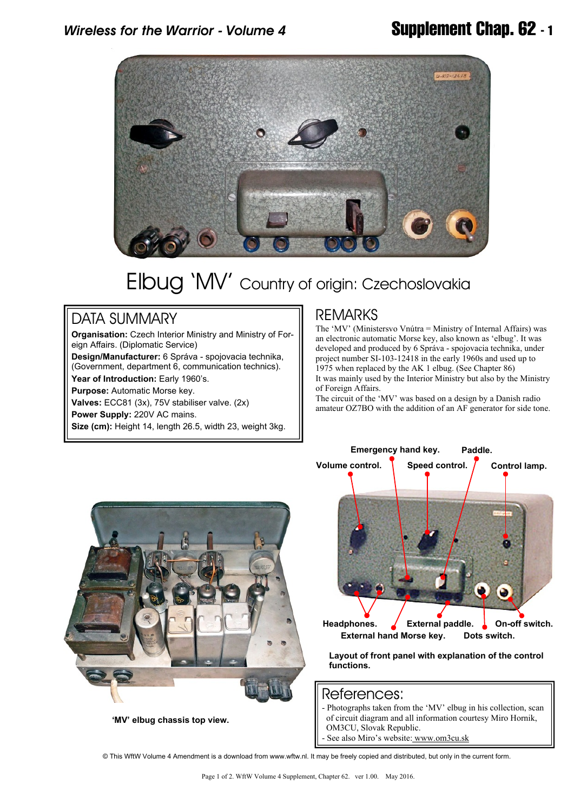

# Elbug 'MV' Country of origin: Czechoslovakia

### DATA SUMMARY

**Organisation:** Czech Interior Ministry and Ministry of Foreign Affairs. (Diplomatic Service)

**Design/Manufacturer:** 6 Správa - spojovacia technika, (Government, department 6, communication technics).

**Year of Introduction:** Early 1960's.

**Purpose:** Automatic Morse key.

**Valves:** ECC81 (3x), 75V stabiliser valve. (2x)

**Power Supply:** 220V AC mains.

**Size (cm):** Height 14, length 26.5, width 23, weight 3kg.

### REMARKS

The 'MV' (Ministersvo Vnútra = Ministry of Internal Affairs) was an electronic automatic Morse key, also known as 'elbug'. It was developed and produced by 6 Správa - spojovacia technika, under project number SI-103-12418 in the early 1960s and used up to 1975 when replaced by the AK 1 elbug. (See Chapter 86) It was mainly used by the Interior Ministry but also by the Ministry of Foreign Affairs.

The circuit of the 'MV' was based on a design by a Danish radio amateur OZ7BO with the addition of an AF generator for side tone.



 **'MV' elbug chassis top view.**

| Emergency hand key. Paddle.           |                  |                |
|---------------------------------------|------------------|----------------|
| Volume control.                       | Speed control.   | Control lamp.  |
|                                       |                  |                |
|                                       |                  |                |
|                                       |                  |                |
|                                       |                  |                |
|                                       |                  |                |
|                                       |                  |                |
|                                       |                  |                |
|                                       |                  |                |
|                                       |                  |                |
|                                       |                  |                |
|                                       |                  |                |
|                                       |                  |                |
| Headphones.                           | External paddle. | On-off switch. |
| External hand Morse key. Dots switch. |                  |                |

**Layout of front panel with explanation of the control functions.**

#### References:

- Photographs taken from the 'MV' elbug in his collection, scan of circuit diagram and all information courtesy Miro Hornik, OM3CU, Slovak Republic.

See also Miro's website:<www.om3cu.sk>

© This WftW Volume 4 Amendment is a download from www.wftw.nl. It may be freely copied and distributed, but only in the current form.